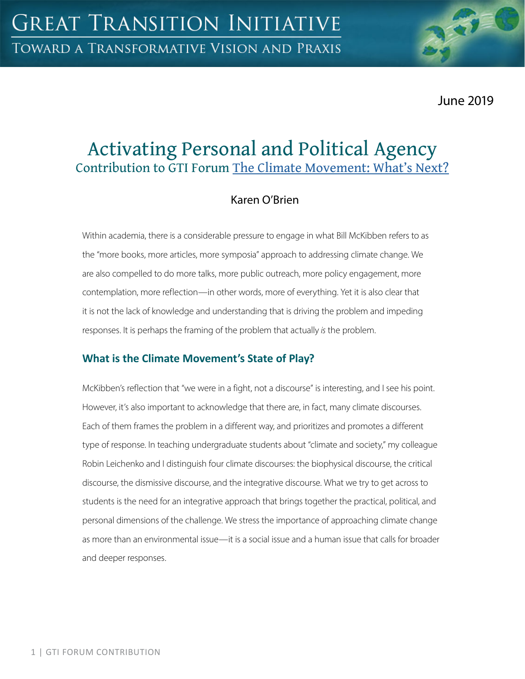June 2019

# Activating Personal and Political Agency Contribution to GTI Forum The Climate Movement: What's Next?

## Karen O'Brien

Within academia, there is a considerable pressure to engage in what Bill McKibben refers to as the "more books, more articles, more symposia" approach to addressing climate change. We are also compelled to do more talks, more public outreach, more policy engagement, more contemplation, more reflection—in other words, more of everything. Yet it is also clear that it is not the lack of knowledge and understanding that is driving the problem and impeding responses. It is perhaps the framing of the problem that actually *is* the problem.

## **What is the Climate Movement's State of Play?**

McKibben's reflection that "we were in a fight, not a discourse" is interesting, and I see his point. However, it's also important to acknowledge that there are, in fact, many climate discourses. Each of them frames the problem in a different way, and prioritizes and promotes a different type of response. In teaching undergraduate students about "climate and society," my colleague Robin Leichenko and I distinguish four climate discourses: the biophysical discourse, the critical discourse, the dismissive discourse, and the integrative discourse. What we try to get across to students is the need for an integrative approach that brings together the practical, political, and personal dimensions of the challenge. We stress the importance of approaching climate change as more than an environmental issue—it is a social issue and a human issue that calls for broader and deeper responses.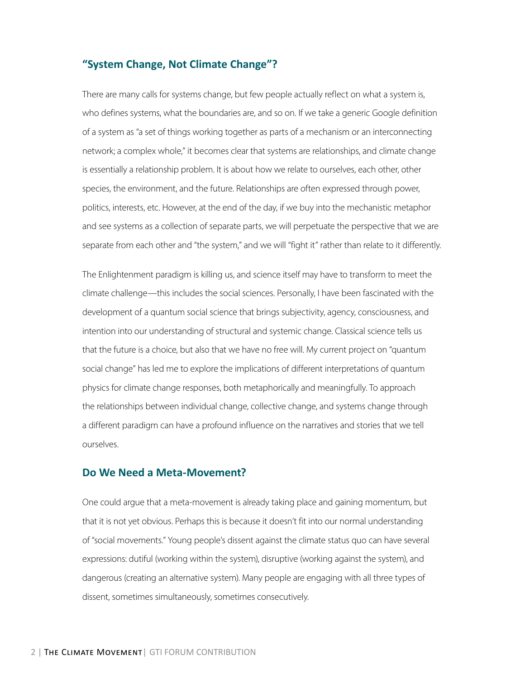### **"System Change, Not Climate Change"?**

There are many calls for systems change, but few people actually reflect on what a system is, who defines systems, what the boundaries are, and so on. If we take a generic Google definition of a system as "a set of things working together as parts of a mechanism or an interconnecting network; a complex whole," it becomes clear that systems are relationships, and climate change is essentially a relationship problem. It is about how we relate to ourselves, each other, other species, the environment, and the future. Relationships are often expressed through power, politics, interests, etc. However, at the end of the day, if we buy into the mechanistic metaphor and see systems as a collection of separate parts, we will perpetuate the perspective that we are separate from each other and "the system," and we will "fight it" rather than relate to it differently.

The Enlightenment paradigm is killing us, and science itself may have to transform to meet the climate challenge—this includes the social sciences. Personally, I have been fascinated with the development of a quantum social science that brings subjectivity, agency, consciousness, and intention into our understanding of structural and systemic change. Classical science tells us that the future is a choice, but also that we have no free will. My current project on "quantum social change" has led me to explore the implications of different interpretations of quantum physics for climate change responses, both metaphorically and meaningfully. To approach the relationships between individual change, collective change, and systems change through a different paradigm can have a profound influence on the narratives and stories that we tell ourselves.

#### **Do We Need a Meta-Movement?**

One could argue that a meta-movement is already taking place and gaining momentum, but that it is not yet obvious. Perhaps this is because it doesn't fit into our normal understanding of "social movements." Young people's dissent against the climate status quo can have several expressions: dutiful (working within the system), disruptive (working against the system), and dangerous (creating an alternative system). Many people are engaging with all three types of dissent, sometimes simultaneously, sometimes consecutively.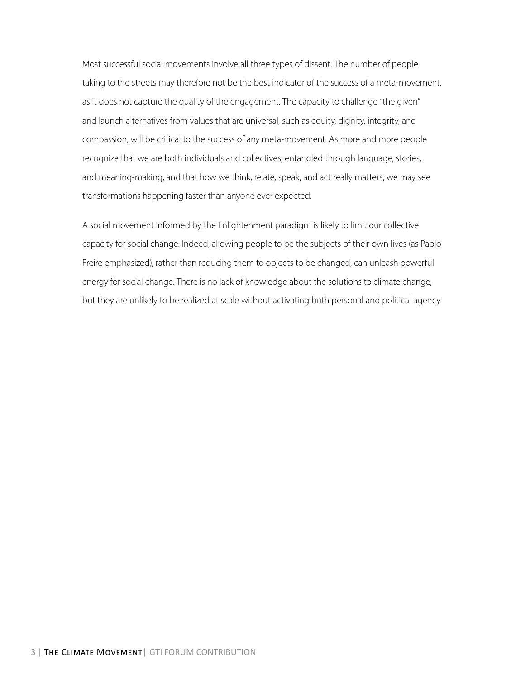Most successful social movements involve all three types of dissent. The number of people taking to the streets may therefore not be the best indicator of the success of a meta-movement, as it does not capture the quality of the engagement. The capacity to challenge "the given" and launch alternatives from values that are universal, such as equity, dignity, integrity, and compassion, will be critical to the success of any meta-movement. As more and more people recognize that we are both individuals and collectives, entangled through language, stories, and meaning-making, and that how we think, relate, speak, and act really matters, we may see transformations happening faster than anyone ever expected.

A social movement informed by the Enlightenment paradigm is likely to limit our collective capacity for social change. Indeed, allowing people to be the subjects of their own lives (as Paolo Freire emphasized), rather than reducing them to objects to be changed, can unleash powerful energy for social change. There is no lack of knowledge about the solutions to climate change, but they are unlikely to be realized at scale without activating both personal and political agency.